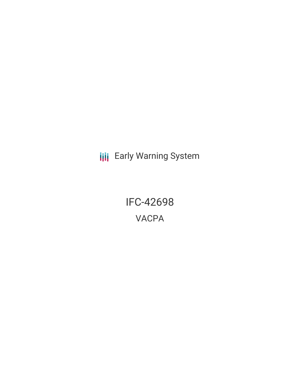**III** Early Warning System

IFC-42698 VACPA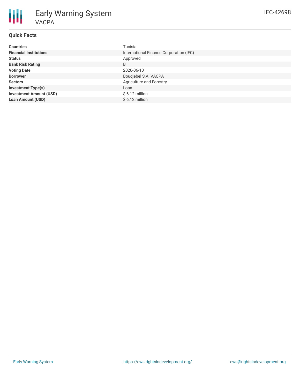# **Quick Facts**

| <b>Countries</b>               | Tunisia                                 |
|--------------------------------|-----------------------------------------|
| <b>Financial Institutions</b>  | International Finance Corporation (IFC) |
| <b>Status</b>                  | Approved                                |
| <b>Bank Risk Rating</b>        | B                                       |
| <b>Voting Date</b>             | 2020-06-10                              |
| <b>Borrower</b>                | Boudjebel S.A. VACPA                    |
| <b>Sectors</b>                 | <b>Agriculture and Forestry</b>         |
| <b>Investment Type(s)</b>      | Loan                                    |
| <b>Investment Amount (USD)</b> | $$6.12$ million                         |
| <b>Loan Amount (USD)</b>       | $$6.12$ million                         |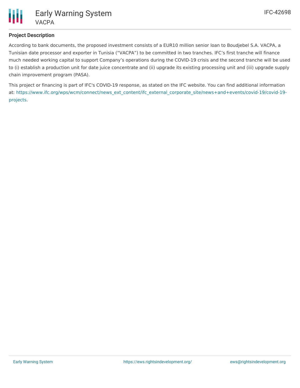

### **Project Description**

According to bank documents, the proposed investment consists of a EUR10 million senior loan to Boudjebel S.A. VACPA, a Tunisian date processor and exporter in Tunisia ("VACPA") to be committed in two tranches. IFC's first tranche will finance much needed working capital to support Company's operations during the COVID-19 crisis and the second tranche will be used to (i) establish a production unit for date juice concentrate and (ii) upgrade its existing processing unit and (iii) upgrade supply chain improvement program (PASA).

This project or financing is part of IFC's COVID-19 response, as stated on the IFC website. You can find additional information at: [https://www.ifc.org/wps/wcm/connect/news\\_ext\\_content/ifc\\_external\\_corporate\\_site/news+and+events/covid-19/covid-19](https://www.ifc.org/wps/wcm/connect/news_ext_content/ifc_external_corporate_site/news+and+events/covid-19/covid-19-projects) projects.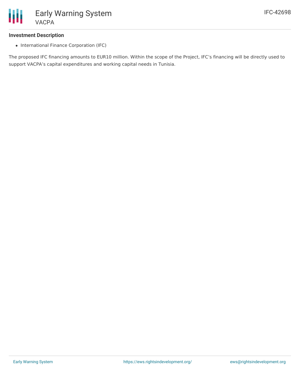

#### **Investment Description**

• International Finance Corporation (IFC)

The proposed IFC financing amounts to EUR10 million. Within the scope of the Project, IFC's financing will be directly used to support VACPA's capital expenditures and working capital needs in Tunisia.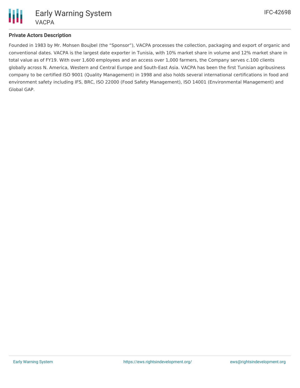

## **Private Actors Description**

Founded in 1983 by Mr. Mohsen Boujbel (the "Sponsor"), VACPA processes the collection, packaging and export of organic and conventional dates. VACPA is the largest date exporter in Tunisia, with 10% market share in volume and 12% market share in total value as of FY19. With over 1,600 employees and an access over 1,000 farmers, the Company serves c.100 clients globally across N. America, Western and Central Europe and South-East Asia. VACPA has been the first Tunisian agribusiness company to be certified ISO 9001 (Quality Management) in 1998 and also holds several international certifications in food and environment safety including IFS, BRC, ISO 22000 (Food Safety Management), ISO 14001 (Environmental Management) and Global GAP.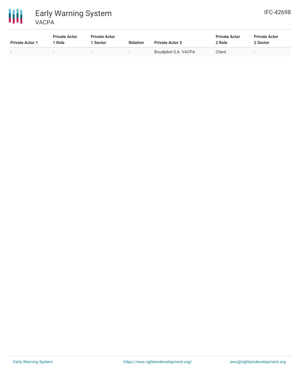



| <b>Private Actor 1</b> | <b>Private Actor</b><br><sup>1</sup> Role | <b>Private Actor</b><br>1 Sector | <b>Relation</b>          | <b>Private Actor 2</b> | <b>Private Actor</b><br>2 Role | <b>Private Actor</b><br>2 Sector |
|------------------------|-------------------------------------------|----------------------------------|--------------------------|------------------------|--------------------------------|----------------------------------|
|                        | $\overline{\phantom{0}}$                  | $\overline{\phantom{a}}$         | $\overline{\phantom{a}}$ | Boudjebel S.A. VACPA   | Client                         | $\overline{\phantom{0}}$         |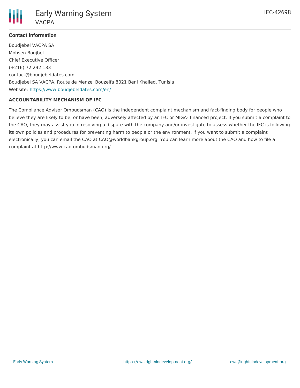

## **Contact Information**

Boudjebel VACPA SA Mohsen Boujbel Chief Executive Officer (+216) 72 292 133 contact@boudjebeldates.com Boudjebel SA VACPA, Route de Menzel Bouzelfa 8021 Beni Khalled, Tunisia Website: <https://www.boudjebeldates.com/en/>

### **ACCOUNTABILITY MECHANISM OF IFC**

The Compliance Advisor Ombudsman (CAO) is the independent complaint mechanism and fact-finding body for people who believe they are likely to be, or have been, adversely affected by an IFC or MIGA- financed project. If you submit a complaint to the CAO, they may assist you in resolving a dispute with the company and/or investigate to assess whether the IFC is following its own policies and procedures for preventing harm to people or the environment. If you want to submit a complaint electronically, you can email the CAO at CAO@worldbankgroup.org. You can learn more about the CAO and how to file a complaint at http://www.cao-ombudsman.org/